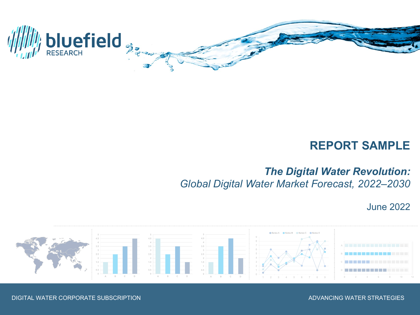

# **REPORT SAMPLE**

# *The Digital Water Revolution: Global Digital Water Market Forecast, 2022–2030*

June 2022



DIGITAL WATER CORPORATE SUBSCRIPTION ADVANCING WATER STRATEGIES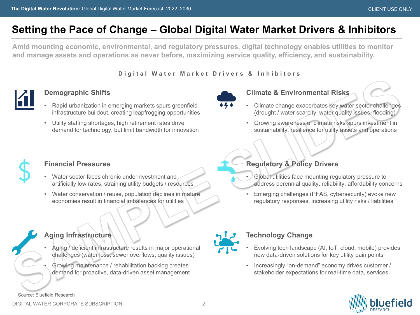# **Setting the Pace of Change – Global Digital Water Market Drivers & Inhibitors**

**Amid mounting economic, environmental, and regulatory pressures, digital technology enables utilities to monitor and manage assets and operations as never before, maximizing service quality, efficiency, and sustainability.**

**Digital Water Market Drivers & Inhibitors**



### **Demographic Shifts**

- Rapid urbanization in emerging markets spurs greenfield infrastructure buildout, creating leapfrogging opportunities
- Utility staffing shortages, high retirement rates drive demand for technology, but limit bandwidth for innovation



### **Climate & Environmental Risks**

- Climate change exacerbates key water sector challenges (drought / water scarcity, water quality issues, flooding)
- Growing awareness of climate risks spurs investment in sustainability, resilience for utility assets and operations



## **Financial Pressures**

- Water sector faces chronic underinvestment and artificially low rates, straining utility budgets / resources
- Water conservation / reuse, population declines in mature economies result in financial imbalances for utilities

## **Aging Infrastructure**

- Aging / deficient infrastructure results in major operational challenges (water loss, sewer overflows, quality issues)
- Growing maintenance / rehabilitation backlog creates demand for proactive, data-driven asset management

**Regulatory & Policy Drivers**

- Global utilities face mounting regulatory pressure to address perennial quality, reliability, affordability concerns
- Emerging challenges (PFAS, cybersecurity) evoke new regulatory responses, increasing utility risks / liabilities



## **Technology Change**

- Evolving tech landscape (AI, IoT, cloud, mobile) provides new data-driven solutions for key utility pain points
- Increasingly "on-demand" economy drives customer / stakeholder expectations for real-time data, services



Source: Bluefield Research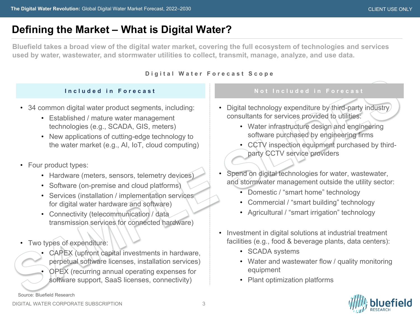# **Defining the Market – What is Digital Water?**

**Bluefield takes a broad view of the digital water market, covering the full ecosystem of technologies and services used by water, wastewater, and stormwater utilities to collect, transmit, manage, analyze, and use data.**

#### **Digital Water Forecast Scope**

- 34 common digital water product segments, including:
	- Established / mature water management technologies (e.g., SCADA, GIS, meters)
	- New applications of cutting-edge technology to the water market (e.g., AI, IoT, cloud computing)
- Four product types:
	- Hardware (meters, sensors, telemetry devices)
	- Software (on-premise and cloud platforms)
	- Services (installation / implementation services for digital water hardware and software)
	- Connectivity (telecommunication / data transmission services for connected hardware)
- Two types of expenditure:
	- CAPEX (upfront capital investments in hardware, perpetual software licenses, installation services)
	- OPEX (recurring annual operating expenses for software support, SaaS licenses, connectivity)

#### **Included in Forecast Not Included in Forecast**

- Digital technology expenditure by third-party industry) consultants for services provided to utilities:
	- Water infrastructure design and engineering software purchased by engineering firms
	- CCTV inspection equipment purchased by thirdparty CCTV service providers
- Spend on digital technologies for water, wastewater, and stormwater management outside the utility sector:
	- Domestic / "smart home" technology
	- Commercial / "smart building" technology
	- Agricultural / "smart irrigation" technology
- Investment in digital solutions at industrial treatment facilities (e.g., food & beverage plants, data centers):
	- SCADA systems
	- Water and wastewater flow / quality monitoring equipment
	- Plant optimization platforms



DIGITAL WATER CORPORATE SUBSCRIPTION

Source: Bluefield Research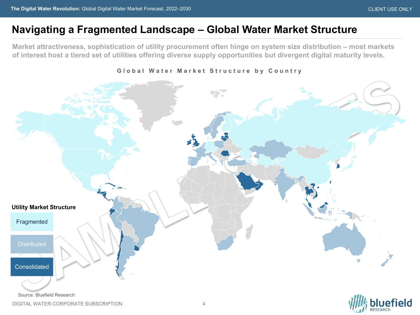efield

## **Navigating a Fragmented Landscape – Global Water Market Structure**

**Market attractiveness, sophistication of utility procurement often hinge on system size distribution – most markets of interest host a tiered set of utilities offering diverse supply opportunities but divergent digital maturity levels.**



**Global Water Market Structure by Country**

Source: Bluefield Research

DIGITAL WATER CORPORATE SUBSCRIPTION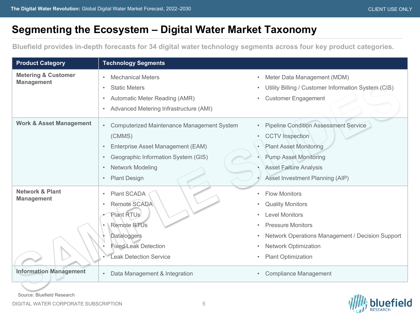# **Segmenting the Ecosystem – Digital Water Market Taxonomy**

**Bluefield provides in-depth forecasts for 34 digital water technology segments across four key product categories.**

| <b>Product Category</b>                             | <b>Technology Segments</b>                                                                                                                                                                                                                          |                                                                                                                                                                                                                                                             |
|-----------------------------------------------------|-----------------------------------------------------------------------------------------------------------------------------------------------------------------------------------------------------------------------------------------------------|-------------------------------------------------------------------------------------------------------------------------------------------------------------------------------------------------------------------------------------------------------------|
| <b>Metering &amp; Customer</b><br><b>Management</b> | <b>Mechanical Meters</b><br>$\bullet$<br><b>Static Meters</b><br>$\bullet$<br>Automatic Meter Reading (AMR)<br>$\bullet$<br>Advanced Metering Infrastructure (AMI)<br>$\bullet$                                                                     | Meter Data Management (MDM)<br>$\bullet$<br>Utility Billing / Customer Information System (CIS)<br><b>Customer Engagement</b>                                                                                                                               |
| <b>Work &amp; Asset Management</b>                  | <b>Computerized Maintenance Management System</b><br>$\bullet$<br>(CMMS)<br>Enterprise Asset Management (EAM)<br>$\bullet$<br>Geographic Information System (GIS)<br>$\bullet$<br>Network Modeling<br>$\bullet$<br><b>Plant Design</b><br>$\bullet$ | <b>Pipeline Condition Assessment Service</b><br>$\bullet$<br><b>CCTV</b> Inspection<br>$\bullet$<br><b>Plant Asset Monitoring</b><br><b>Pump Asset Monitoring</b><br><b>Asset Failure Analysis</b><br>Asset Investment Planning (AIP)                       |
| <b>Network &amp; Plant</b><br><b>Management</b>     | Plant SCADA<br>$\bullet$<br>Remote SCADA<br>$\bullet$<br>Plant RTUs<br><b>Remote RTUs</b><br>Dataloggers<br><b>Fixed Leak Detection</b><br><b>Leak Detection Service</b>                                                                            | <b>Flow Monitors</b><br>$\bullet$<br><b>Quality Monitors</b><br><b>Level Monitors</b><br>$\bullet$<br><b>Pressure Monitors</b><br>Network Operations Management / Decision Support<br>$\bullet$<br><b>Network Optimization</b><br><b>Plant Optimization</b> |
| <b>Information Management</b>                       | Data Management & Integration<br>$\bullet$                                                                                                                                                                                                          | <b>Compliance Management</b>                                                                                                                                                                                                                                |

Source: Bluefield Research

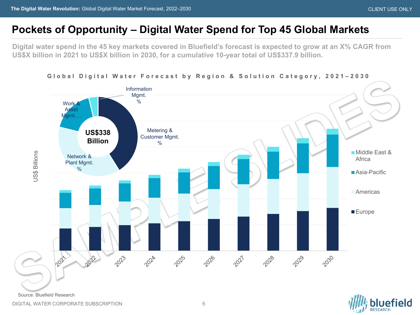## **Pockets of Opportunity – Digital Water Spend for Top 45 Global Markets**

**Digital water spend in the 45 key markets covered in Bluefield's forecast is expected to grow at an X% CAGR from US\$X billion in 2021 to US\$X billion in 2030, for a cumulative 10-year total of US\$337.9 billion.**



#### **Global Digital Water Forecast by Region & Solution Category, 2021 – 2030**

DIGITAL WATER CORPORATE SUBSCRIPTION